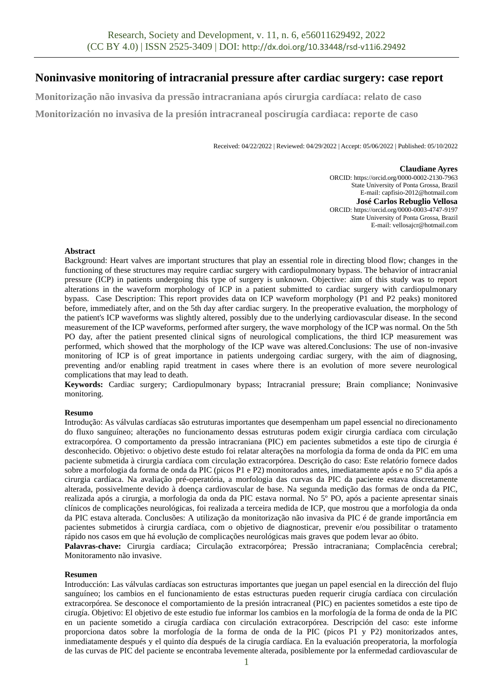# **Noninvasive monitoring of intracranial pressure after cardiac surgery: case report**

**Monitorização não invasiva da pressão intracraniana após cirurgia cardíaca: relato de caso Monitorización no invasiva de la presión intracraneal poscirugía cardiaca: reporte de caso**

Received: 04/22/2022 | Reviewed: 04/29/2022 | Accept: 05/06/2022 | Published: 05/10/2022

#### **Claudiane Ayres**

ORCID: https://orcid.org/0000-0002-2130-7963 State University of Ponta Grossa, Brazil E-mail: capfisio-2012@hotmail.com **José Carlos Rebuglio Vellosa** ORCID: https://orcid.org/0000-0003-4747-9197 State University of Ponta Grossa, Brazil E-mail: vellosajcr@hotmail.com

#### **Abstract**

Background: Heart valves are important structures that play an essential role in directing blood flow; changes in the functioning of these structures may require cardiac surgery with cardiopulmonary bypass. The behavior of intracranial pressure (ICP) in patients undergoing this type of surgery is unknown. Objective: aim of this study was to report alterations in the waveform morphology of ICP in a patient submitted to cardiac surgery with cardiopulmonary bypass. Case Description: This report provides data on ICP waveform morphology (P1 and P2 peaks) monitored before, immediately after, and on the 5th day after cardiac surgery. In the preoperative evaluation, the morphology of the patient's ICP waveforms was slightly altered, possibly due to the underlying cardiovascular disease. In the second measurement of the ICP waveforms, performed after surgery, the wave morphology of the ICP was normal. On the 5th PO day, after the patient presented clinical signs of neurological complications, the third ICP measurement was performed, which showed that the morphology of the ICP wave was altered.Conclusions: The use of non-invasive monitoring of ICP is of great importance in patients undergoing cardiac surgery, with the aim of diagnosing, preventing and/or enabling rapid treatment in cases where there is an evolution of more severe neurological complications that may lead to death.

**Keywords:** Cardiac surgery; Cardiopulmonary bypass; Intracranial pressure; Brain compliance; Noninvasive monitoring.

### **Resumo**

Introdução: As válvulas cardíacas são estruturas importantes que desempenham um papel essencial no direcionamento do fluxo sanguíneo; alterações no funcionamento dessas estruturas podem exigir cirurgia cardíaca com circulação extracorpórea. O comportamento da pressão intracraniana (PIC) em pacientes submetidos a este tipo de cirurgia é desconhecido. Objetivo: o objetivo deste estudo foi relatar alterações na morfologia da forma de onda da PIC em uma paciente submetida à cirurgia cardíaca com circulação extracorpórea. Descrição do caso: Este relatório fornece dados sobre a morfologia da forma de onda da PIC (picos P1 e P2) monitorados antes, imediatamente após e no 5º dia após a cirurgia cardíaca. Na avaliação pré-operatória, a morfologia das curvas da PIC da paciente estava discretamente alterada, possivelmente devido à doença cardiovascular de base. Na segunda medição das formas de onda da PIC, realizada após a cirurgia, a morfologia da onda da PIC estava normal. No 5º PO, após a paciente apresentar sinais clínicos de complicações neurológicas, foi realizada a terceira medida de ICP, que mostrou que a morfologia da onda da PIC estava alterada. Conclusões: A utilização da monitorização não invasiva da PIC é de grande importância em pacientes submetidos à cirurgia cardíaca, com o objetivo de diagnosticar, prevenir e/ou possibilitar o tratamento rápido nos casos em que há evolução de complicações neurológicas mais graves que podem levar ao óbito.

**Palavras-chave:** Cirurgia cardíaca; Circulação extracorpórea; Pressão intracraniana; Complacência cerebral; Monitoramento não invasive.

#### **Resumen**

Introducción: Las válvulas cardíacas son estructuras importantes que juegan un papel esencial en la dirección del flujo sanguíneo; los cambios en el funcionamiento de estas estructuras pueden requerir cirugía cardíaca con circulación extracorpórea. Se desconoce el comportamiento de la presión intracraneal (PIC) en pacientes sometidos a este tipo de cirugía. Objetivo: El objetivo de este estudio fue informar los cambios en la morfología de la forma de onda de la PIC en un paciente sometido a cirugía cardíaca con circulación extracorpórea. Descripción del caso: este informe proporciona datos sobre la morfología de la forma de onda de la PIC (picos P1 y P2) monitorizados antes, inmediatamente después y el quinto día después de la cirugía cardíaca. En la evaluación preoperatoria, la morfología de las curvas de PIC del paciente se encontraba levemente alterada, posiblemente por la enfermedad cardiovascular de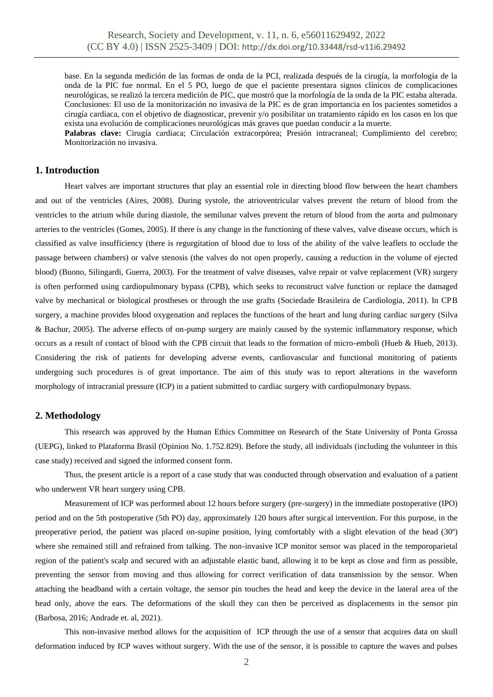base. En la segunda medición de las formas de onda de la PCI, realizada después de la cirugía, la morfología de la onda de la PIC fue normal. En el 5 PO, luego de que el paciente presentara signos clínicos de complicaciones neurológicas, se realizó la tercera medición de PIC, que mostró que la morfología de la onda de la PIC estaba alterada. Conclusiones: El uso de la monitorización no invasiva de la PIC es de gran importancia en los pacientes sometidos a cirugía cardiaca, con el objetivo de diagnosticar, prevenir y/o posibilitar un tratamiento rápido en los casos en los que exista una evolución de complicaciones neurológicas más graves que puedan conducir a la muerte.

**Palabras clave:** Cirugía cardiaca; Circulación extracorpórea; Presión intracraneal; Cumplimiento del cerebro; Monitorización no invasiva.

# **1. Introduction**

Heart valves are important structures that play an essential role in directing blood flow between the heart chambers and out of the ventricles (Aires, 2008). During systole, the atrioventricular valves prevent the return of blood from the ventricles to the atrium while during diastole, the semilunar valves prevent the return of blood from the aorta and pulmonary arteries to the ventricles (Gomes, 2005). If there is any change in the functioning of these valves, valve disease occurs, which is classified as valve insufficiency (there is regurgitation of blood due to loss of the ability of the valve leaflets to occlude the passage between chambers) or valve stenosis (the valves do not open properly, causing a reduction in the volume of ejected blood) (Buono, Silingardi, Guerra, 2003). For the treatment of valve diseases, valve repair or valve replacement (VR) surgery is often performed using cardiopulmonary bypass (CPB), which seeks to reconstruct valve function or replace the damaged valve by mechanical or biological prostheses or through the use grafts (Sociedade Brasileira de Cardiologia, 2011). In CPB surgery, a machine provides blood oxygenation and replaces the functions of the heart and lung during cardiac surgery (Silva & Bachur, 2005). The adverse effects of on-pump surgery are mainly caused by the systemic inflammatory response, which occurs as a result of contact of blood with the CPB circuit that leads to the formation of micro-emboli (Hueb & Hueb, 2013). Considering the risk of patients for developing adverse events, cardiovascular and functional monitoring of patients undergoing such procedures is of great importance. The aim of this study was to report alterations in the waveform morphology of intracranial pressure (ICP) in a patient submitted to cardiac surgery with cardiopulmonary bypass.

### **2. Methodology**

This research was approved by the Human Ethics Committee on Research of the State University of Ponta Grossa (UEPG), linked to Plataforma Brasil (Opinion No. 1.752.829). Before the study, all individuals (including the volunteer in this case study) received and signed the informed consent form.

Thus, the present article is a report of a case study that was conducted through observation and evaluation of a patient who underwent VR heart surgery using CPB.

Measurement of ICP was performed about 12 hours before surgery (pre-surgery) in the immediate postoperative (IPO) period and on the 5th postoperative (5th PO) day, approximately 120 hours after surgical intervention. For this purpose, in the preoperative period, the patient was placed on-supine position, lying comfortably with a slight elevation of the head (30º) where she remained still and refrained from talking. The non-invasive ICP monitor sensor was placed in the temporoparietal region of the patient's scalp and secured with an adjustable elastic band, allowing it to be kept as close and firm as possible, preventing the sensor from moving and thus allowing for correct verification of data transmission by the sensor. When attaching the headband with a certain voltage, the sensor pin touches the head and keep the device in the lateral area of the head only, above the ears. The deformations of the skull they can then be perceived as displacements in the sensor pin (Barbosa, 2016; Andrade et. al, 2021).

This non-invasive method allows for the acquisition of ICP through the use of a sensor that acquires data on skull deformation induced by ICP waves without surgery. With the use of the sensor, it is possible to capture the waves and pulses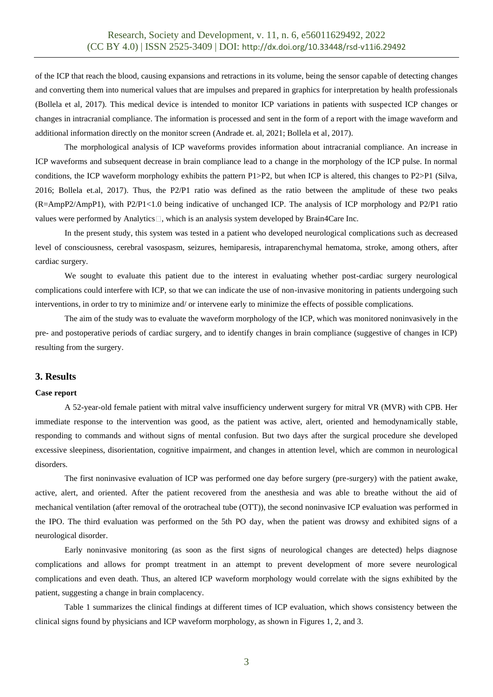of the ICP that reach the blood, causing expansions and retractions in its volume, being the sensor capable of detecting changes and converting them into numerical values that are impulses and prepared in graphics for interpretation by health professionals (Bollela et al, 2017). This medical device is intended to monitor ICP variations in patients with suspected ICP changes or changes in intracranial compliance. The information is processed and sent in the form of a report with the image waveform and additional information directly on the monitor screen (Andrade et. al, 2021; Bollela et al, 2017).

The morphological analysis of ICP waveforms provides information about intracranial compliance. An increase in ICP waveforms and subsequent decrease in brain compliance lead to a change in the morphology of the ICP pulse. In normal conditions, the ICP waveform morphology exhibits the pattern P1>P2, but when ICP is altered, this changes to P2>P1 (Silva, 2016; Bollela et.al, 2017). Thus, the P2/P1 ratio was defined as the ratio between the amplitude of these two peaks (R=AmpP2/AmpP1), with P2/P1<1.0 being indicative of unchanged ICP. The analysis of ICP morphology and P2/P1 ratio values were performed by Analytics $\Box$ , which is an analysis system developed by Brain4Care Inc.

In the present study, this system was tested in a patient who developed neurological complications such as decreased level of consciousness, cerebral vasospasm, seizures, hemiparesis, intraparenchymal hematoma, stroke, among others, after cardiac surgery.

We sought to evaluate this patient due to the interest in evaluating whether post-cardiac surgery neurological complications could interfere with ICP, so that we can indicate the use of non-invasive monitoring in patients undergoing such interventions, in order to try to minimize and/ or intervene early to minimize the effects of possible complications.

The aim of the study was to evaluate the waveform morphology of the ICP, which was monitored noninvasively in the pre- and postoperative periods of cardiac surgery, and to identify changes in brain compliance (suggestive of changes in ICP) resulting from the surgery.

### **3. Results**

#### **Case report**

A 52-year-old female patient with mitral valve insufficiency underwent surgery for mitral VR (MVR) with CPB. Her immediate response to the intervention was good, as the patient was active, alert, oriented and hemodynamically stable, responding to commands and without signs of mental confusion. But two days after the surgical procedure she developed excessive sleepiness, disorientation, cognitive impairment, and changes in attention level, which are common in neurological disorders.

The first noninvasive evaluation of ICP was performed one day before surgery (pre-surgery) with the patient awake, active, alert, and oriented. After the patient recovered from the anesthesia and was able to breathe without the aid of mechanical ventilation (after removal of the orotracheal tube (OTT)), the second noninvasive ICP evaluation was performed in the IPO. The third evaluation was performed on the 5th PO day, when the patient was drowsy and exhibited signs of a neurological disorder.

Early noninvasive monitoring (as soon as the first signs of neurological changes are detected) helps diagnose complications and allows for prompt treatment in an attempt to prevent development of more severe neurological complications and even death. Thus, an altered ICP waveform morphology would correlate with the signs exhibited by the patient, suggesting a change in brain complacency.

Table 1 summarizes the clinical findings at different times of ICP evaluation, which shows consistency between the clinical signs found by physicians and ICP waveform morphology, as shown in Figures 1, 2, and 3.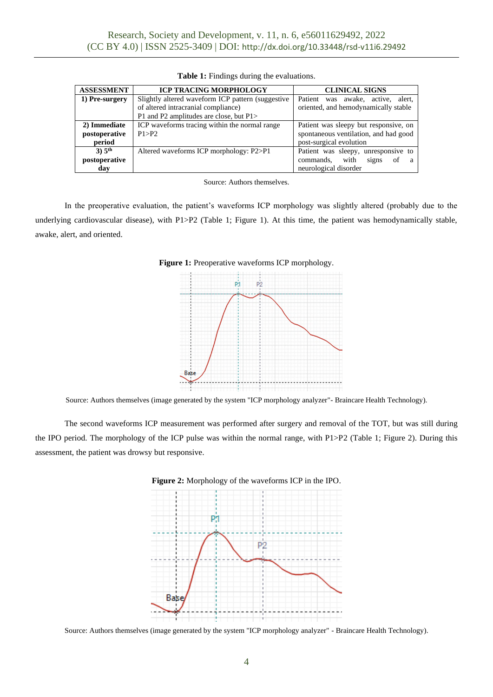| <b>ASSESSMENT</b>  | <b>ICP TRACING MORPHOLOGY</b>                      | <b>CLINICAL SIGNS</b>                         |
|--------------------|----------------------------------------------------|-----------------------------------------------|
| 1) Pre-surgery     | Slightly altered waveform ICP pattern (suggestive) | Patient<br>active.<br>alert.<br>awake.<br>was |
|                    | of altered intracranial compliance)                | oriented, and hemodynamically stable          |
|                    | P1 and P2 amplitudes are close, but P1>            |                                               |
| 2) Immediate       | ICP waveforms tracing within the normal range      | Patient was sleepy but responsive, on         |
| postoperative      | P1 > P2                                            | spontaneous ventilation, and had good         |
| period             |                                                    | post-surgical evolution                       |
| 3) 5 <sup>th</sup> | Altered waveforms ICP morphology: P2>P1            | Patient was sleepy, unresponsive to           |
| postoperative      |                                                    | commands.<br>with<br>signs<br>of<br>a a       |
| day                |                                                    | neurological disorder                         |

**Table 1:** Findings during the evaluations.

Source: Authors themselves.

In the preoperative evaluation, the patient's waveforms ICP morphology was slightly altered (probably due to the underlying cardiovascular disease), with P1>P2 (Table 1; Figure 1). At this time, the patient was hemodynamically stable, awake, alert, and oriented.





Source: Authors themselves (image generated by the system "ICP morphology analyzer"- Braincare Health Technology).

The second waveforms ICP measurement was performed after surgery and removal of the TOT, but was still during the IPO period. The morphology of the ICP pulse was within the normal range, with P1>P2 (Table 1; Figure 2). During this assessment, the patient was drowsy but responsive.



**Figure 2:** Morphology of the waveforms ICP in the IPO.

Source: Authors themselves (image generated by the system "ICP morphology analyzer" - Braincare Health Technology).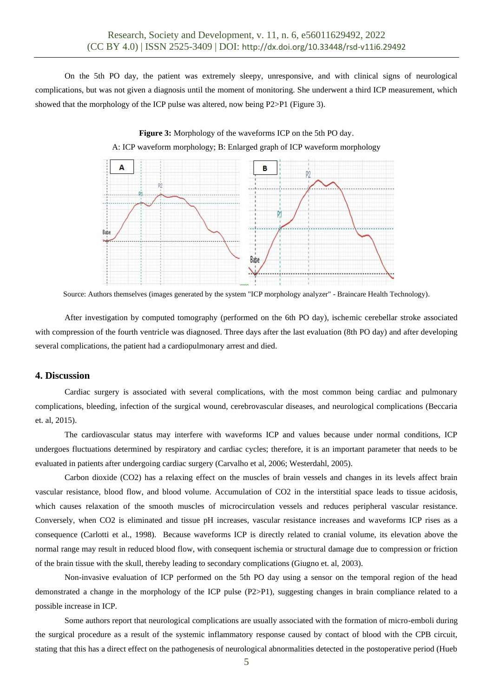On the 5th PO day, the patient was extremely sleepy, unresponsive, and with clinical signs of neurological complications, but was not given a diagnosis until the moment of monitoring. She underwent a third ICP measurement, which showed that the morphology of the ICP pulse was altered, now being P2>P1 (Figure 3).

**Figure 3:** Morphology of the waveforms ICP on the 5th PO day.



Source: Authors themselves (images generated by the system "ICP morphology analyzer" - Braincare Health Technology).

After investigation by computed tomography (performed on the 6th PO day), ischemic cerebellar stroke associated with compression of the fourth ventricle was diagnosed. Three days after the last evaluation (8th PO day) and after developing several complications, the patient had a cardiopulmonary arrest and died.

## **4. Discussion**

Cardiac surgery is associated with several complications, with the most common being cardiac and pulmonary complications, bleeding, infection of the surgical wound, cerebrovascular diseases, and neurological complications (Beccaria et. al, 2015).

The cardiovascular status may interfere with waveforms ICP and values because under normal conditions, ICP undergoes fluctuations determined by respiratory and cardiac cycles; therefore, it is an important parameter that needs to be evaluated in patients after undergoing cardiac surgery (Carvalho et al, 2006; Westerdahl, 2005).

Carbon dioxide (CO2) has a relaxing effect on the muscles of brain vessels and changes in its levels affect brain vascular resistance, blood flow, and blood volume. Accumulation of CO2 in the interstitial space leads to tissue acidosis, which causes relaxation of the smooth muscles of microcirculation vessels and reduces peripheral vascular resistance. Conversely, when CO2 is eliminated and tissue pH increases, vascular resistance increases and waveforms ICP rises as a consequence (Carlotti et al., 1998). Because waveforms ICP is directly related to cranial volume, its elevation above the normal range may result in reduced blood flow, with consequent ischemia or structural damage due to compression or friction of the brain tissue with the skull, thereby leading to secondary complications (Giugno et. al, 2003).

Non-invasive evaluation of ICP performed on the 5th PO day using a sensor on the temporal region of the head demonstrated a change in the morphology of the ICP pulse (P2>P1), suggesting changes in brain compliance related to a possible increase in ICP.

Some authors report that neurological complications are usually associated with the formation of micro-emboli during the surgical procedure as a result of the systemic inflammatory response caused by contact of blood with the CPB circuit, stating that this has a direct effect on the pathogenesis of neurological abnormalities detected in the postoperative period (Hueb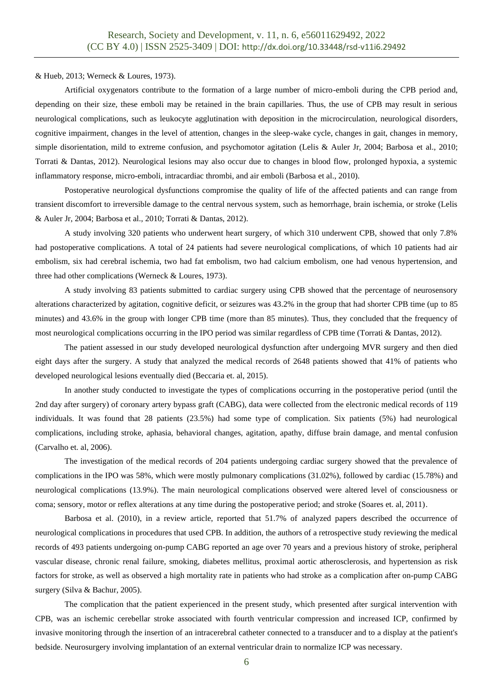& Hueb, 2013; Werneck & Loures, 1973).

Artificial oxygenators contribute to the formation of a large number of micro-emboli during the CPB period and, depending on their size, these emboli may be retained in the brain capillaries. Thus, the use of CPB may result in serious neurological complications, such as leukocyte agglutination with deposition in the microcirculation, neurological disorders, cognitive impairment, changes in the level of attention, changes in the sleep-wake cycle, changes in gait, changes in memory, simple disorientation, mild to extreme confusion, and psychomotor agitation (Lelis & Auler Jr, 2004; Barbosa et al., 2010; Torrati & Dantas, 2012). Neurological lesions may also occur due to changes in blood flow, prolonged hypoxia, a systemic inflammatory response, micro-emboli, intracardiac thrombi, and air emboli (Barbosa et al., 2010).

Postoperative neurological dysfunctions compromise the quality of life of the affected patients and can range from transient discomfort to irreversible damage to the central nervous system, such as hemorrhage, brain ischemia, or stroke (Lelis & Auler Jr, 2004; Barbosa et al., 2010; Torrati & Dantas, 2012).

A study involving 320 patients who underwent heart surgery, of which 310 underwent CPB, showed that only 7.8% had postoperative complications. A total of 24 patients had severe neurological complications, of which 10 patients had air embolism, six had cerebral ischemia, two had fat embolism, two had calcium embolism, one had venous hypertension, and three had other complications (Werneck & Loures, 1973).

A study involving 83 patients submitted to cardiac surgery using CPB showed that the percentage of neurosensory alterations characterized by agitation, cognitive deficit, or seizures was 43.2% in the group that had shorter CPB time (up to 85 minutes) and 43.6% in the group with longer CPB time (more than 85 minutes). Thus, they concluded that the frequency of most neurological complications occurring in the IPO period was similar regardless of CPB time (Torrati & Dantas, 2012).

The patient assessed in our study developed neurological dysfunction after undergoing MVR surgery and then died eight days after the surgery. A study that analyzed the medical records of 2648 patients showed that 41% of patients who developed neurological lesions eventually died (Beccaria et. al, 2015).

In another study conducted to investigate the types of complications occurring in the postoperative period (until the 2nd day after surgery) of coronary artery bypass graft (CABG), data were collected from the electronic medical records of 119 individuals. It was found that 28 patients (23.5%) had some type of complication. Six patients (5%) had neurological complications, including stroke, aphasia, behavioral changes, agitation, apathy, diffuse brain damage, and mental confusion (Carvalho et. al, 2006).

The investigation of the medical records of 204 patients undergoing cardiac surgery showed that the prevalence of complications in the IPO was 58%, which were mostly pulmonary complications (31.02%), followed by cardiac (15.78%) and neurological complications (13.9%). The main neurological complications observed were altered level of consciousness or coma; sensory, motor or reflex alterations at any time during the postoperative period; and stroke (Soares et. al, 2011).

Barbosa et al. (2010), in a review article, reported that 51.7% of analyzed papers described the occurrence of neurological complications in procedures that used CPB. In addition, the authors of a retrospective study reviewing the medical records of 493 patients undergoing on-pump CABG reported an age over 70 years and a previous history of stroke, peripheral vascular disease, chronic renal failure, smoking, diabetes mellitus, proximal aortic atherosclerosis, and hypertension as risk factors for stroke, as well as observed a high mortality rate in patients who had stroke as a complication after on-pump CABG surgery (Silva & Bachur, 2005).

The complication that the patient experienced in the present study, which presented after surgical intervention with CPB, was an ischemic cerebellar stroke associated with fourth ventricular compression and increased ICP, confirmed by invasive monitoring through the insertion of an intracerebral catheter connected to a transducer and to a display at the patient's bedside. Neurosurgery involving implantation of an external ventricular drain to normalize ICP was necessary.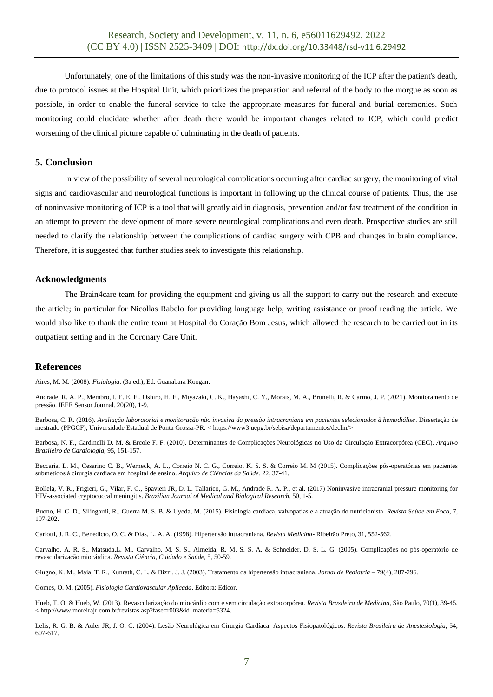Unfortunately, one of the limitations of this study was the non-invasive monitoring of the ICP after the patient's death, due to protocol issues at the Hospital Unit, which prioritizes the preparation and referral of the body to the morgue as soon as possible, in order to enable the funeral service to take the appropriate measures for funeral and burial ceremonies. Such monitoring could elucidate whether after death there would be important changes related to ICP, which could predict worsening of the clinical picture capable of culminating in the death of patients.

# **5. Conclusion**

In view of the possibility of several neurological complications occurring after cardiac surgery, the monitoring of vital signs and cardiovascular and neurological functions is important in following up the clinical course of patients. Thus, the use of noninvasive monitoring of ICP is a tool that will greatly aid in diagnosis, prevention and/or fast treatment of the condition in an attempt to prevent the development of more severe neurological complications and even death. Prospective studies are still needed to clarify the relationship between the complications of cardiac surgery with CPB and changes in brain compliance. Therefore, it is suggested that further studies seek to investigate this relationship.

#### **Acknowledgments**

The Brain4care team for providing the equipment and giving us all the support to carry out the research and execute the article; in particular for Nicollas Rabelo for providing language help, writing assistance or proof reading the article. We would also like to thank the entire team at Hospital do Coração Bom Jesus, which allowed the research to be carried out in its outpatient setting and in the Coronary Care Unit.

### **References**

Aires, M. M. (2008). *Fisiologia*. (3a ed.), Ed. Guanabara Koogan.

Andrade, R. A. P., Membro, I. E. E. E., Oshiro, H. E., Miyazaki, C. K., Hayashi, C. Y., Morais, M. A., Brunelli, R. & Carmo, J. P. (2021). Monitoramento de pressão. IEEE Sensor Journal. 20(20), 1-9.

Barbosa, C. R. (2016). *Avaliação laboratorial e monitoração não invasiva da pressão intracraniana em pacientes selecionados à hemodiálise*. Dissertação de mestrado (PPGCF), Universidade Estadual de Ponta Grossa-PR. < https://www3.uepg.br/sebisa/departamentos/declin/>

Barbosa, N. F., Cardinelli D. M. & Ercole F. F. (2010). Determinantes de Complicações Neurológicas no Uso da Circulação Extracorpórea (CEC). *Arquivo Brasileiro de Cardiologia*, 95, 151-157.

Beccaria, L. M., Cesarino C. B., Werneck, A. L., Correio N. C. G., Correio, K. S. S. & Correio M. M (2015). Complicações pós-operatórias em pacientes submetidos à cirurgia cardíaca em hospital de ensino. *Arquivo de Ciências da Saúde*, 22, 37-41.

Bollela, V. R., Frigieri, G., Vilar, F. C., Spavieri JR, D. L. Tallarico, G. M., Andrade R. A. P., et al. (2017) Noninvasive intracranial pressure monitoring for HIV-associated cryptococcal meningitis. *Brazilian Journal of Medical and Biological Research*, 50, 1-5.

Buono, H. C. D., Silingardi, R., Guerra M. S. B. & Uyeda, M. (2015). Fisiologia cardíaca, valvopatias e a atuação do nutricionista. *Revista Saúde em Foco*, 7, 197-202.

Carlotti, J. R. C., Benedicto, O. C. & Dias, L. A. A. (1998). Hipertensão intracraniana. *Revista Medicina-* Ribeirão Preto, 31, 552-562.

Carvalho, A. R. S., Matsuda,L. M., Carvalho, M. S. S., Almeida, R. M. S. S. A. & Schneider, D. S. L. G. (2005). Complicações no pós-operatório de revascularização miocárdica. *Revista Ciência, Cuidado e Saúde*, 5, 50-59.

Giugno, K. M., Maia, T. R., Kunrath, C. L. & Bizzi, J. J. (2003). Tratamento da hipertensão intracraniana. *Jornal de Pediatria* – 79(4), 287-296.

Gomes, O. M. (2005). *Fisiologia Cardiovascular Aplicada*. Editora: Edicor.

Hueb, T. O. & Hueb, W. (2013). Revascularização do miocárdio com e sem circulação extracorpórea. *Revista Brasileira de Medicina*, São Paulo, 70(1), 39-45. < http://www.moreirajr.com.br/revistas.asp?fase=r003&id\_materia=5324.

Lelis, R. G. B. & Auler JR, J. O. C. (2004). Lesão Neurológica em Cirurgia Cardíaca: Aspectos Fisiopatológicos. *Revista Brasileira de Anestesiologia*, 54, 607-617.